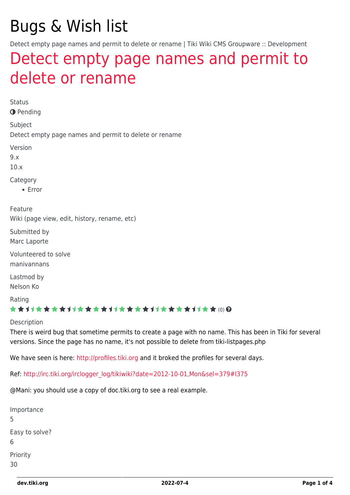# Bugs & Wish list

Detect empty page names and permit to delete or rename | Tiki Wiki CMS Groupware :: Development

## [Detect empty page names and permit to](https://dev.tiki.org/item4301-Detect-empty-page-names-and-permit-to-delete-or-rename) [delete or rename](https://dev.tiki.org/item4301-Detect-empty-page-names-and-permit-to-delete-or-rename)

Status **O** Pending Subject Detect empty page names and permit to delete or rename Version 9.x 10.x Category Error Feature Wiki (page view, edit, history, rename, etc) Submitted by Marc Laporte Volunteered to solve manivannans Lastmod by Nelson Ko Rating (0) Description There is weird bug that sometime permits to create a page with no name. This has been in Tiki for several versions. Since the page has no name, it's not possible to delete from tiki-listpages.php We have seen is here:<http://profiles.tiki.org> and it broked the profiles for several days.

Ref: [http://irc.tiki.org/irclogger\\_log/tikiwiki?date=2012-10-01,Mon&sel=379#l375](http://irc.tiki.org/irclogger_log/tikiwiki?date=2012-10-01,Mon&sel=379#l375)

@Mani: you should use a copy of doc.tiki.org to see a real example.

| Importance<br>5     |  |
|---------------------|--|
| Easy to solve?<br>6 |  |
| Priority<br>30      |  |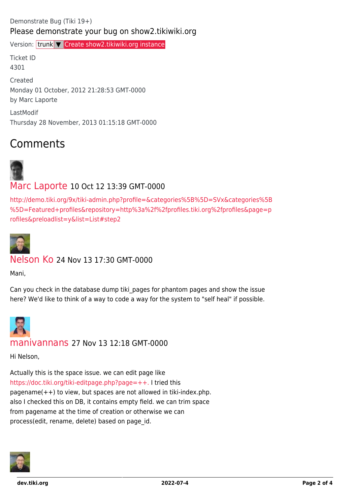#### Demonstrate Bug (Tiki 19+) Please demonstrate your bug on show2.tikiwiki.org

Version: trunk ▼ [Create show2.tikiwiki.org instance](#page--1-0)

Ticket ID 4301 Created Monday 01 October, 2012 21:28:53 GMT-0000 by Marc Laporte LastModif Thursday 28 November, 2013 01:15:18 GMT-0000

## Comments



#### [Marc Laporte](https://dev.tiki.org/user11197) 10 Oct 12 13:39 GMT-0000

[http://demo.tiki.org/9x/tiki-admin.php?profile=&categories%5B%5D=SVx&categories%5B](http://demo.tiki.org/9x/tiki-admin.php?profile=&categories%5B%5D=SVx&categories%5B%5D=Featured+profiles&repository=http%3a%2f%2fprofiles.tiki.org%2fprofiles&page=profiles&preloadlist=y&list=List#step2) [%5D=Featured+profiles&repository=http%3a%2f%2fprofiles.tiki.org%2fprofiles&page=p](http://demo.tiki.org/9x/tiki-admin.php?profile=&categories%5B%5D=SVx&categories%5B%5D=Featured+profiles&repository=http%3a%2f%2fprofiles.tiki.org%2fprofiles&page=profiles&preloadlist=y&list=List#step2) [rofiles&preloadlist=y&list=List#step2](http://demo.tiki.org/9x/tiki-admin.php?profile=&categories%5B%5D=SVx&categories%5B%5D=Featured+profiles&repository=http%3a%2f%2fprofiles.tiki.org%2fprofiles&page=profiles&preloadlist=y&list=List#step2)



#### [Nelson Ko](https://dev.tiki.org/user9801) 24 Nov 13 17:30 GMT-0000

Mani,

Can you check in the database dump tiki pages for phantom pages and show the issue here? We'd like to think of a way to code a way for the system to "self heal" if possible.



#### [manivannans](https://dev.tiki.org/user11621) 27 Nov 13 12:18 GMT-0000

Hi Nelson,

Actually this is the space issue. we can edit page like <https://doc.tiki.org/tiki-editpage.php?page=++.>I tried this pagename $(++)$  to view, but spaces are not allowed in tiki-index.php. also I checked this on DB, it contains empty field. we can trim space from pagename at the time of creation or otherwise we can process(edit, rename, delete) based on page id.

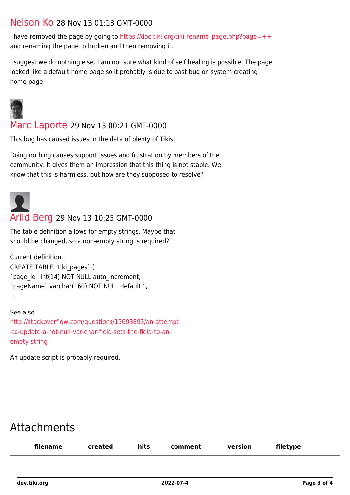#### [Nelson Ko](https://dev.tiki.org/user9801) 28 Nov 13 01:13 GMT-0000

I have removed the page by going to [https://doc.tiki.org/tiki-rename\\_page.php?page=++](https://doc.tiki.org/tiki-rename_page.php?page=++) and renaming the page to broken and then removing it.

I suggest we do nothing else. I am not sure what kind of self healing is possible. The page looked like a default home page so it probably is due to past bug on system creating home page.



[Marc Laporte](https://dev.tiki.org/user11197) 29 Nov 13 00:21 GMT-0000

This bug has caused issues in the data of plenty of Tikis.

Doing nothing causes support issues and frustration by members of the community. It gives them an impression that this thing is not stable. We know that this is harmless, but how are they supposed to resolve?



#### [Arild Berg](https://dev.tiki.org/user11385) 29 Nov 13 10:25 GMT-0000

The table definition allows for empty strings. Maybe that should be changed, so a non-empty string is required?

Current definition... CREATE TABLE `tiki\_pages` ( `page\_id` int(14) NOT NULL auto\_increment, `pageName` varchar(160) NOT NULL default '', ...

See also

[http://stackoverflow.com/questions/15093893/an-attempt](http://stackoverflow.com/questions/15093893/an-attempt-to-update-a-not-null-var-char-field-sets-the-field-to-an-empty-string) [-to-update-a-not-null-var-char-field-sets-the-field-to-an](http://stackoverflow.com/questions/15093893/an-attempt-to-update-a-not-null-var-char-field-sets-the-field-to-an-empty-string)[empty-string](http://stackoverflow.com/questions/15093893/an-attempt-to-update-a-not-null-var-char-field-sets-the-field-to-an-empty-string)

An update script is probably required.

### Attachments

| filename | created | hits | comment | version | filetype |
|----------|---------|------|---------|---------|----------|
|          |         |      |         |         |          |